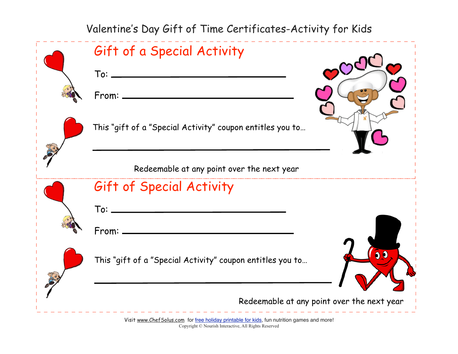Valentine's Day Gift of Time Certificates-Activity for Kids

| Gift of a Special Activity<br>From: _                     |
|-----------------------------------------------------------|
| This "gift of a "Special Activity" coupon entitles you to |
| Redeemable at any point over the next year                |
| Gift of Special Activity                                  |
| $\mathsf{To}$ : $\_\_$                                    |
| From:                                                     |
| This "gift of a "Special Activity" coupon entitles you to |
| Redeemable at any point over the next year                |

Visit [www.ChefSolus.com](http://www.nourishinteractive.com/kids/gameroom.html) for [free holiday printable for kids](http://www.nourishinteractive.com/hco/free_printables), fun nutrition games and more! Copyright © Nourish Interactive, All Rights Reserved